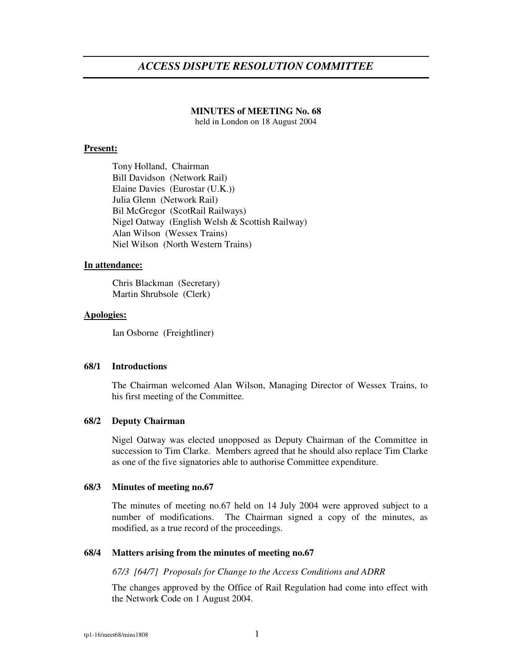# *ACCESS DISPUTE RESOLUTION COMMITTEE*

#### **MINUTES of MEETING No. 68**

held in London on 18 August 2004

#### **Present:**

Tony Holland, Chairman Bill Davidson (Network Rail) Elaine Davies (Eurostar (U.K.)) Julia Glenn (Network Rail) Bil McGregor (ScotRail Railways) Nigel Oatway (English Welsh & Scottish Railway) Alan Wilson (Wessex Trains) Niel Wilson (North Western Trains)

### **In attendance:**

Chris Blackman (Secretary) Martin Shrubsole (Clerk)

#### **Apologies:**

Ian Osborne (Freightliner)

#### **68/1 Introductions**

The Chairman welcomed Alan Wilson, Managing Director of Wessex Trains, to his first meeting of the Committee.

#### **68/2 Deputy Chairman**

Nigel Oatway was elected unopposed as Deputy Chairman of the Committee in succession to Tim Clarke. Members agreed that he should also replace Tim Clarke as one of the five signatories able to authorise Committee expenditure.

#### **68/3 Minutes of meeting no.67**

The minutes of meeting no.67 held on 14 July 2004 were approved subject to a number of modifications. The Chairman signed a copy of the minutes, as modified, as a true record of the proceedings.

#### **68/4 Matters arising from the minutes of meeting no.67**

*67/3 [64/7] Proposals for Change to the Access Conditions and ADRR*

The changes approved by the Office of Rail Regulation had come into effect with the Network Code on 1 August 2004.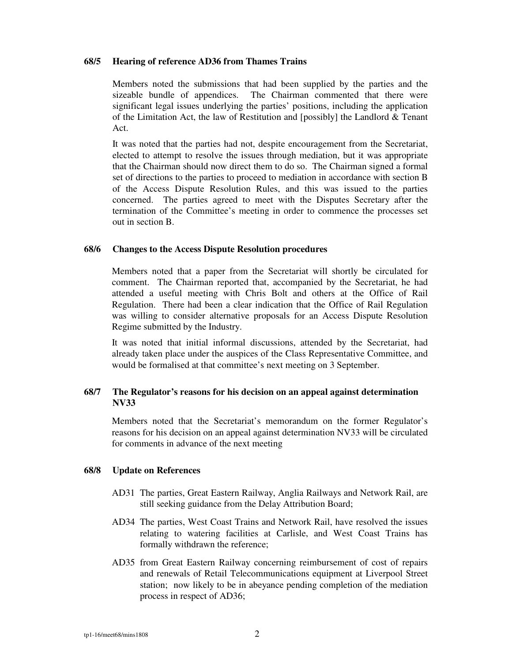#### **68/5 Hearing of reference AD36 from Thames Trains**

Members noted the submissions that had been supplied by the parties and the sizeable bundle of appendices. The Chairman commented that there were significant legal issues underlying the parties' positions, including the application of the Limitation Act, the law of Restitution and [possibly] the Landlord & Tenant Act.

It was noted that the parties had not, despite encouragement from the Secretariat, elected to attempt to resolve the issues through mediation, but it was appropriate that the Chairman should now direct them to do so. The Chairman signed a formal set of directions to the parties to proceed to mediation in accordance with section B of the Access Dispute Resolution Rules, and this was issued to the parties concerned. The parties agreed to meet with the Disputes Secretary after the termination of the Committee's meeting in order to commence the processes set out in section B.

#### **68/6 Changes to the Access Dispute Resolution procedures**

Members noted that a paper from the Secretariat will shortly be circulated for comment. The Chairman reported that, accompanied by the Secretariat, he had attended a useful meeting with Chris Bolt and others at the Office of Rail Regulation. There had been a clear indication that the Office of Rail Regulation was willing to consider alternative proposals for an Access Dispute Resolution Regime submitted by the Industry.

It was noted that initial informal discussions, attended by the Secretariat, had already taken place under the auspices of the Class Representative Committee, and would be formalised at that committee's next meeting on 3 September.

## **68/7 The Regulator's reasons for his decision on an appeal against determination NV33**

Members noted that the Secretariat's memorandum on the former Regulator's reasons for his decision on an appeal against determination NV33 will be circulated for comments in advance of the next meeting

#### **68/8 Update on References**

- AD31 The parties, Great Eastern Railway, Anglia Railways and Network Rail, are still seeking guidance from the Delay Attribution Board;
- AD34 The parties, West Coast Trains and Network Rail, have resolved the issues relating to watering facilities at Carlisle, and West Coast Trains has formally withdrawn the reference;
- AD35 from Great Eastern Railway concerning reimbursement of cost of repairs and renewals of Retail Telecommunications equipment at Liverpool Street station; now likely to be in abeyance pending completion of the mediation process in respect of AD36;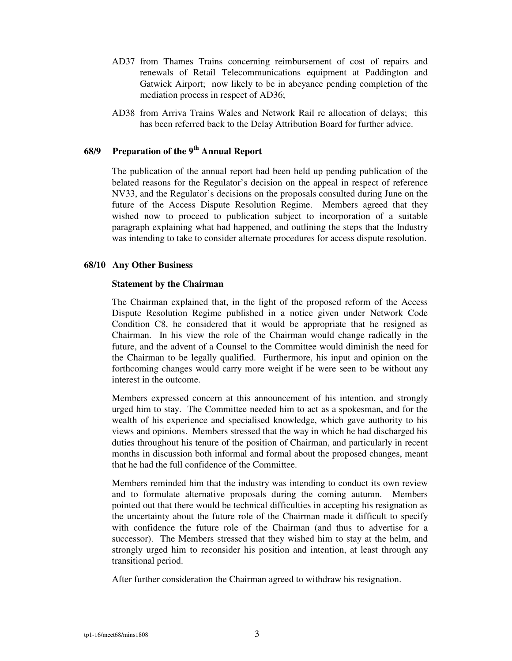- AD37 from Thames Trains concerning reimbursement of cost of repairs and renewals of Retail Telecommunications equipment at Paddington and Gatwick Airport; now likely to be in abeyance pending completion of the mediation process in respect of AD36;
- AD38 from Arriva Trains Wales and Network Rail re allocation of delays; this has been referred back to the Delay Attribution Board for further advice.

## **68/9 Preparation of the 9 th Annual Report**

The publication of the annual report had been held up pending publication of the belated reasons for the Regulator's decision on the appeal in respect of reference NV33, and the Regulator's decisions on the proposals consulted during June on the future of the Access Dispute Resolution Regime. Members agreed that they wished now to proceed to publication subject to incorporation of a suitable paragraph explaining what had happened, and outlining the steps that the Industry was intending to take to consider alternate procedures for access dispute resolution.

#### **68/10 Any Other Business**

#### **Statement by the Chairman**

The Chairman explained that, in the light of the proposed reform of the Access Dispute Resolution Regime published in a notice given under Network Code Condition C8, he considered that it would be appropriate that he resigned as Chairman. In his view the role of the Chairman would change radically in the future, and the advent of a Counsel to the Committee would diminish the need for the Chairman to be legally qualified. Furthermore, his input and opinion on the forthcoming changes would carry more weight if he were seen to be without any interest in the outcome.

Members expressed concern at this announcement of his intention, and strongly urged him to stay. The Committee needed him to act as a spokesman, and for the wealth of his experience and specialised knowledge, which gave authority to his views and opinions. Members stressed that the way in which he had discharged his duties throughout his tenure of the position of Chairman, and particularly in recent months in discussion both informal and formal about the proposed changes, meant that he had the full confidence of the Committee.

Members reminded him that the industry was intending to conduct its own review and to formulate alternative proposals during the coming autumn. Members pointed out that there would be technical difficulties in accepting his resignation as the uncertainty about the future role of the Chairman made it difficult to specify with confidence the future role of the Chairman (and thus to advertise for a successor). The Members stressed that they wished him to stay at the helm, and strongly urged him to reconsider his position and intention, at least through any transitional period.

After further consideration the Chairman agreed to withdraw his resignation.